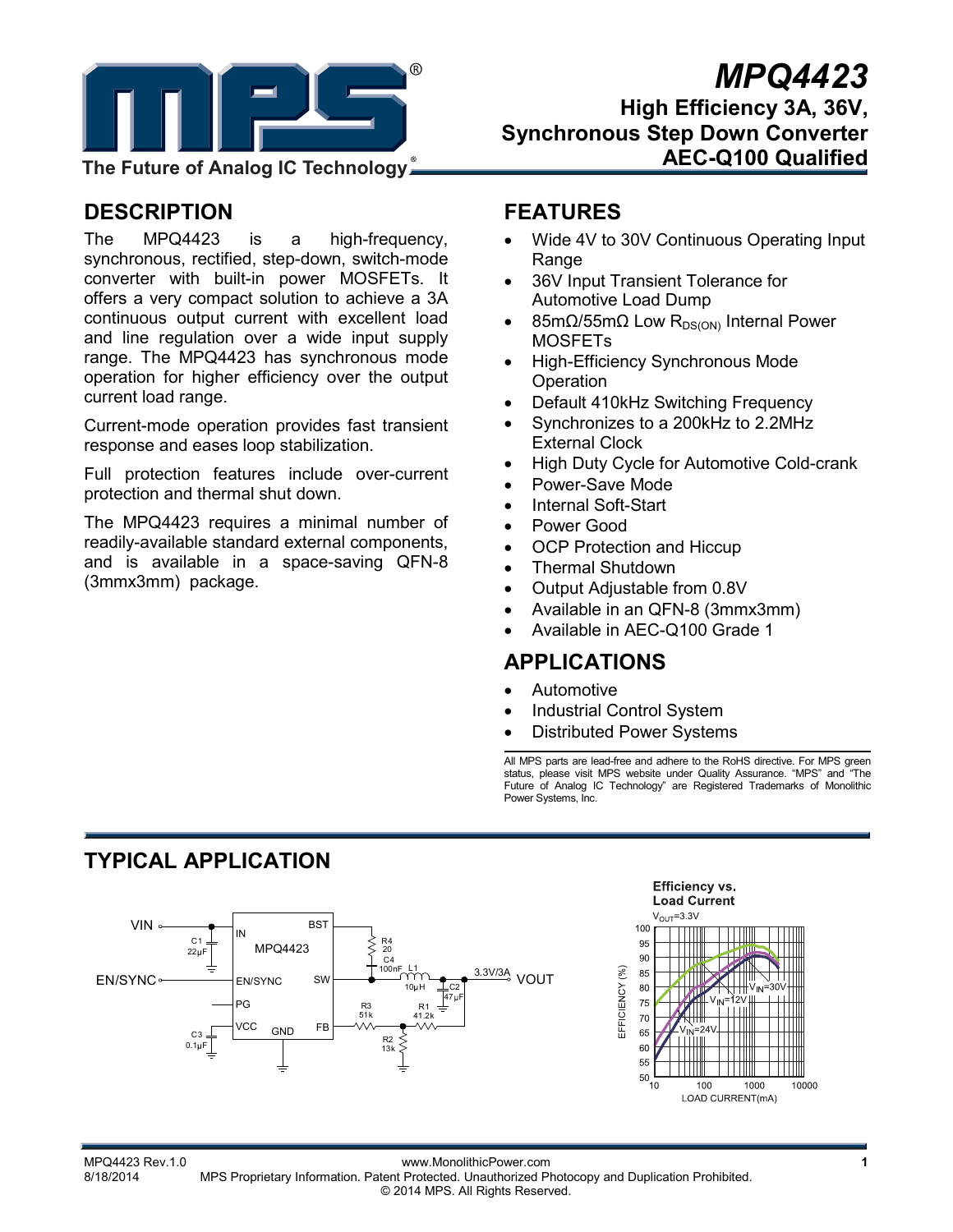

# *MPQ4423*

**High Efficiency 3A, 36V, Synchronous Step Down Converter AEC-Q100 Qualified** 

**The Future of Analog IC Technology**

# **DESCRIPTION**

The MPQ4423 is a high-frequency, synchronous, rectified, step-down, switch-mode converter with built-in power MOSFETs. It offers a very compact solution to achieve a 3A continuous output current with excellent load and line regulation over a wide input supply range. The MPQ4423 has synchronous mode operation for higher efficiency over the output current load range.

Current-mode operation provides fast transient response and eases loop stabilization.

Full protection features include over-current protection and thermal shut down.

The MPQ4423 requires a minimal number of readily-available standard external components, and is available in a space-saving QFN-8 (3mmx3mm) package.

# **FEATURES**

- Wide 4V to 30V Continuous Operating Input **Range**
- 36V Input Transient Tolerance for Automotive Load Dump
- 85mΩ/55mΩ Low R<sub>DS(ON)</sub> Internal Power MOSFETs
- High-Efficiency Synchronous Mode **Operation**
- Default 410kHz Switching Frequency
- Synchronizes to a 200kHz to 2.2MHz External Clock
- High Duty Cycle for Automotive Cold-crank
- Power-Save Mode
- Internal Soft-Start
- Power Good
- **OCP Protection and Hiccup**
- Thermal Shutdown
- Output Adjustable from 0.8V
- Available in an QFN-8 (3mmx3mm)
- Available in AEC-Q100 Grade 1

## **APPLICATIONS**

- Automotive
- Industrial Control System
- Distributed Power Systems

All MPS parts are lead-free and adhere to the RoHS directive. For MPS green status, please visit MPS website under Quality Assurance. "MPS" and "The Future of Analog IC Technology" are Registered Trademarks of Monolithic Power Systems, Inc.

# **TYPICAL APPLICATION**



MPQ4423 Rev.1.0 www.MonolithicPower.com **1** MPS Proprietary Information. Patent Protected. Unauthorized Photocopy and Duplication Prohibited. © 2014 MPS. All Rights Reserved.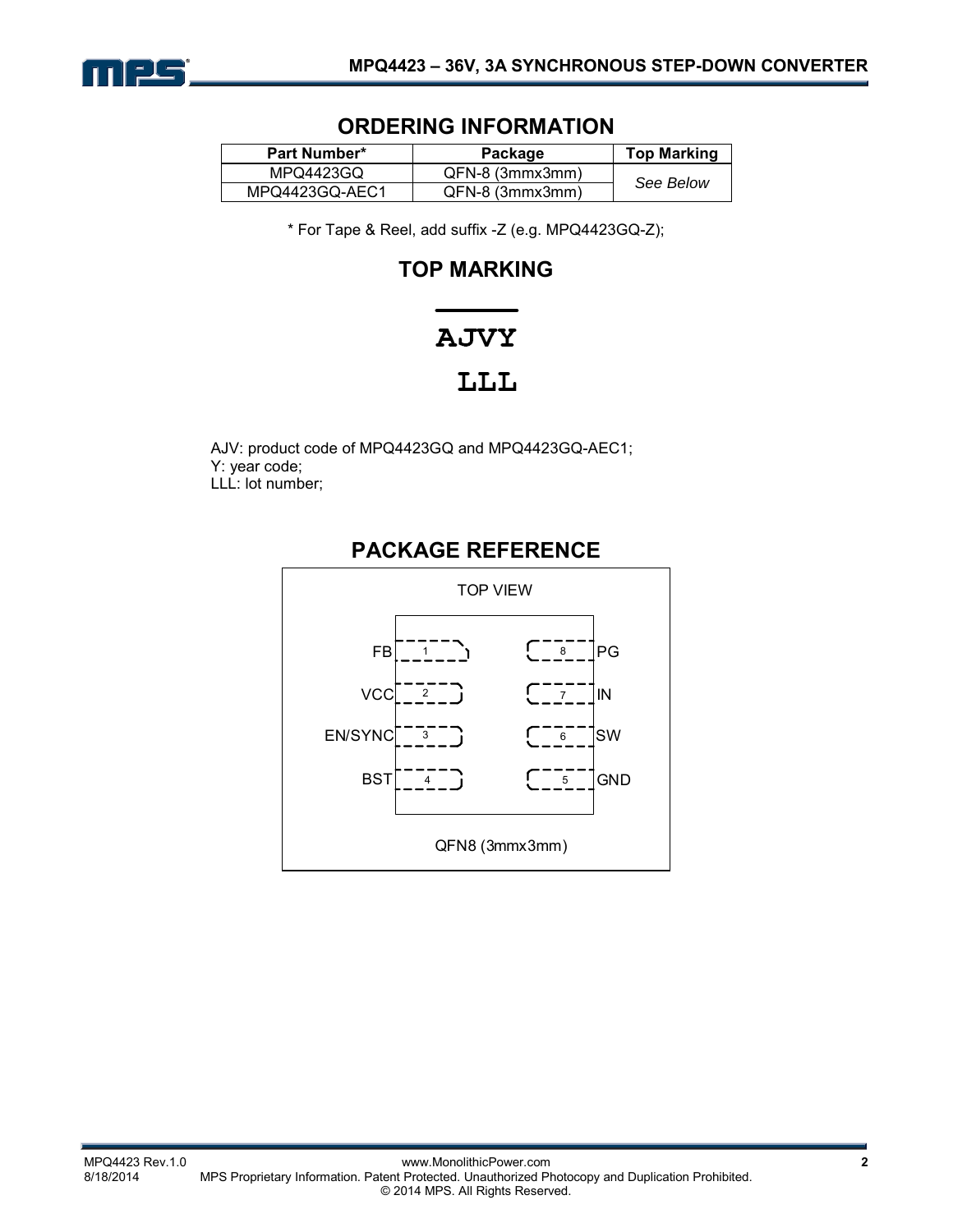

## **ORDERING INFORMATION**

| <b>Part Number*</b> | Package         | <b>Top Marking</b> |
|---------------------|-----------------|--------------------|
| MPQ4423GQ           | QFN-8 (3mmx3mm) |                    |
| MPQ4423GQ-AEC1      | QFN-8 (3mmx3mm) | See Below          |

\* For Tape & Reel, add suffix -Z (e.g. MPQ4423GQ-Z);

# **TOP MARKING**

# **AJVY** LLL

AJV: product code of MPQ4423GQ and MPQ4423GQ-AEC1; Y: year code; LLL: lot number;

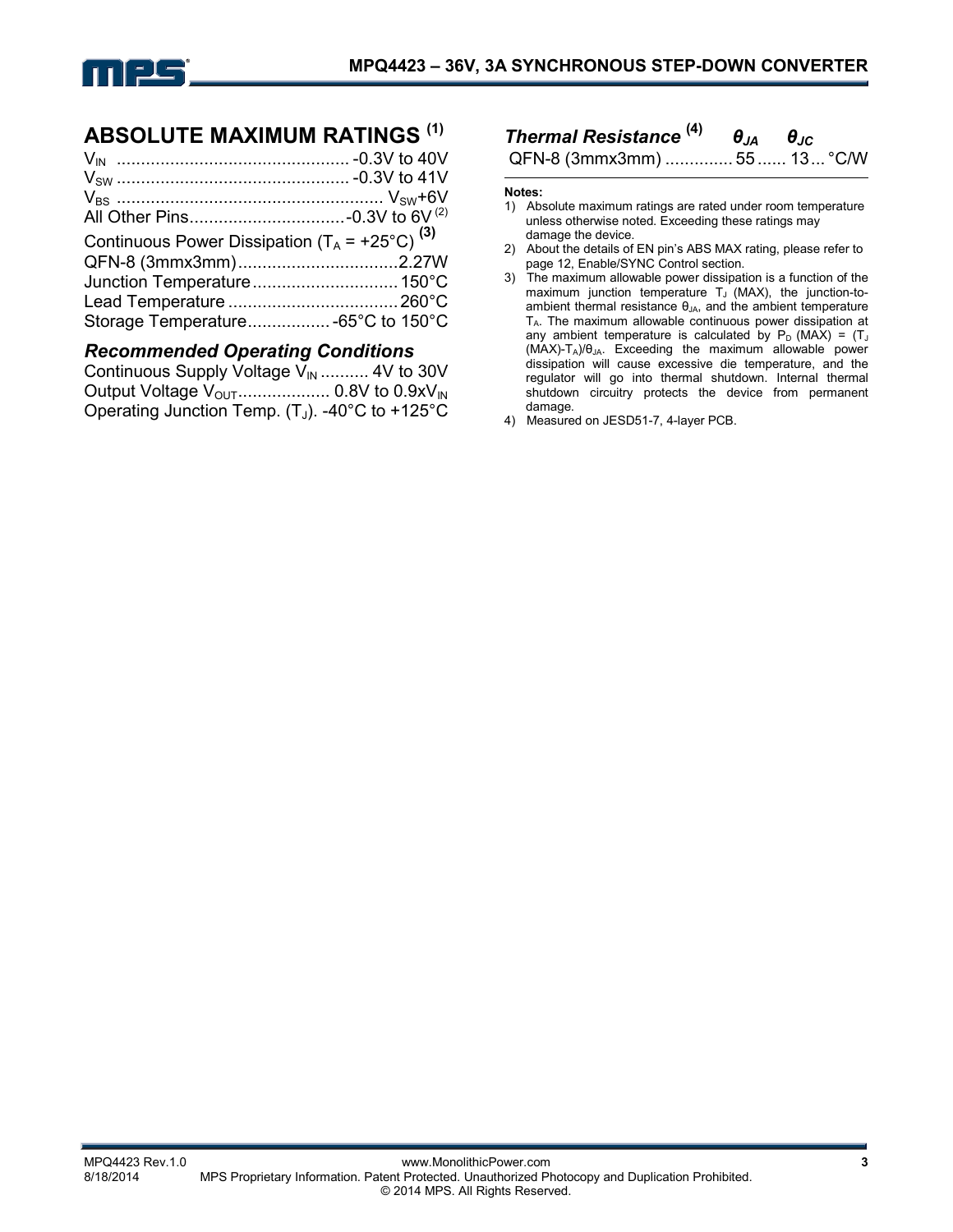

## **ABSOLUTE MAXIMUM RATINGS (1)**

| Continuous Power Dissipation $(T_A = +25^{\circ}C)^{(3)}$ |  |
|-----------------------------------------------------------|--|
|                                                           |  |
|                                                           |  |
|                                                           |  |
| Storage Temperature -65°C to 150°C                        |  |
|                                                           |  |

## *Recommended Operating Conditions*

| Continuous Supply Voltage $V_{\text{IN}}$ 4V to 30V |  |
|-----------------------------------------------------|--|
|                                                     |  |
| Operating Junction Temp. $(T_J)$ . -40°C to +125°C  |  |

# *Thermal Resistance* **(4)** *θJA θJC*

QFN-8 (3mmx3mm) .............. 55 ...... 13 ... °C/W

#### **Notes:**

- 1) Absolute maximum ratings are rated under room temperature unless otherwise noted. Exceeding these ratings may damage the device.
- 2) About the details of EN pin's ABS MAX rating, please refer to page 12, Enable/SYNC Control section.
- 3) The maximum allowable power dissipation is a function of the maximum junction temperature  $T_J$  (MAX), the junction-toambient thermal resistance  $\theta_{JA}$ , and the ambient temperature TA. The maximum allowable continuous power dissipation at any ambient temperature is calculated by  $P_D$  (MAX) = (T<sub>J</sub>  $(MAX)-T_A)/\theta_{JA}$ . Exceeding the maximum allowable power dissipation will cause excessive die temperature, and the regulator will go into thermal shutdown. Internal thermal shutdown circuitry protects the device from permanent damage.
- 4) Measured on JESD51-7, 4-layer PCB.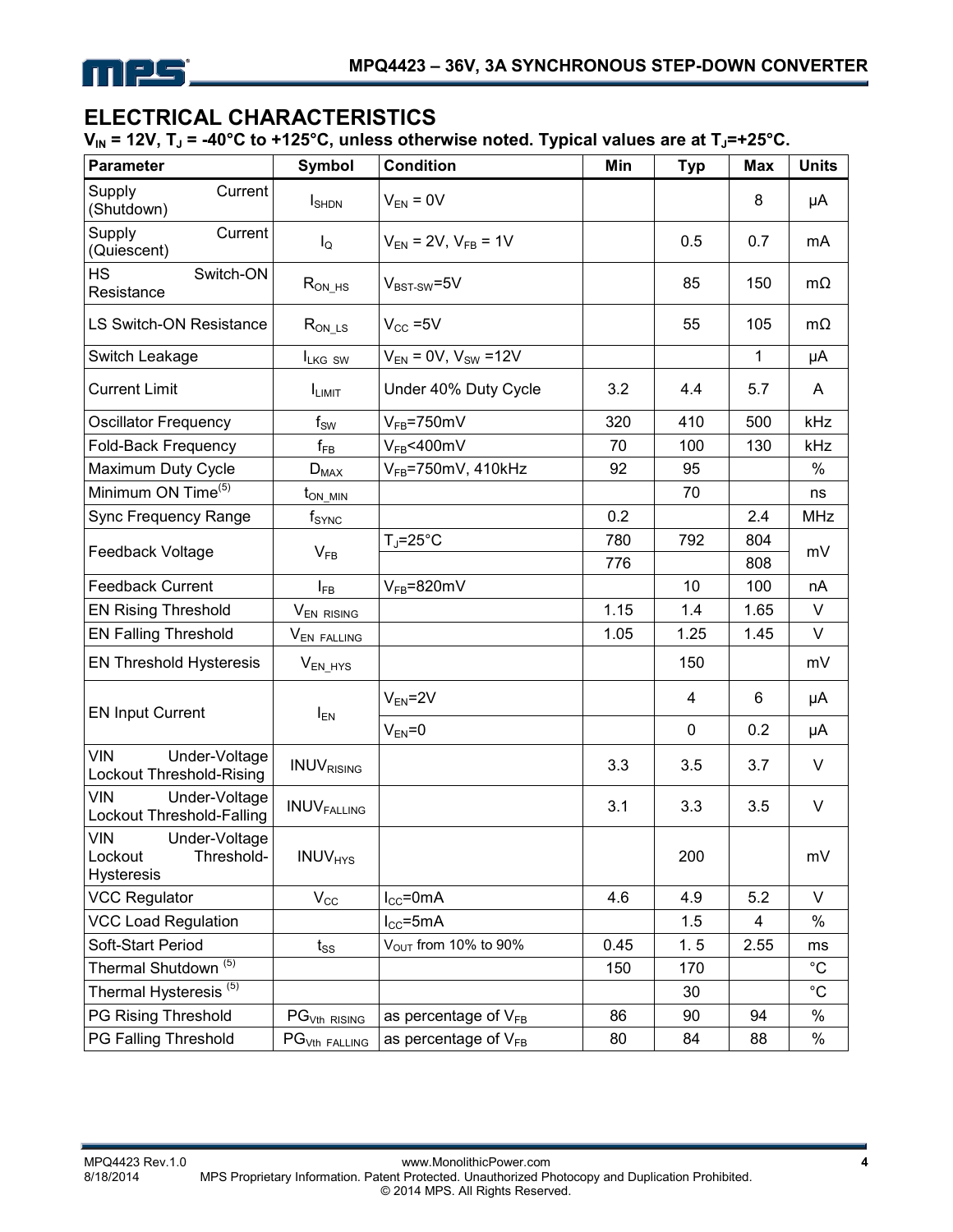

# **ELECTRICAL CHARACTERISTICS**

V<sub>IN</sub> = 12V, T<sub>J</sub> = -40°C to +125°C, unless otherwise noted. Typical values are at T<sub>J</sub>=+25°C.

| <b>Parameter</b>                                                          | <b>Symbol</b>              | <b>Condition</b>                 | Min  | <b>Typ</b>  | <b>Max</b> | <b>Units</b> |
|---------------------------------------------------------------------------|----------------------------|----------------------------------|------|-------------|------------|--------------|
| Supply<br>Current<br>(Shutdown)                                           | $I_{\text{SHDN}}$          | $V_{EN} = 0V$                    |      |             | 8          | μA           |
| Supply<br>Current<br>(Quiescent)                                          | $I_{\mathsf{Q}}$           | $V_{EN}$ = 2V, $V_{FB}$ = 1V     |      | 0.5         | 0.7        | mA           |
| <b>HS</b><br>Switch-ON<br>Resistance                                      | $R_{ON_HS}$                | $V_{BST-SW} = 5V$                |      | 85          | 150        | $m\Omega$    |
| <b>LS Switch-ON Resistance</b>                                            | $R_{ON\_\text{LS}}$        | $V_{CC} = 5V$                    |      | 55          | 105        | $m\Omega$    |
| Switch Leakage                                                            | ILKG SW                    | $V_{EN} = 0V$ , $V_{SW} = 12V$   |      |             | 1          | μA           |
| <b>Current Limit</b>                                                      | <b>ILIMIT</b>              | Under 40% Duty Cycle             | 3.2  | 4.4         | 5.7        | A            |
| <b>Oscillator Frequency</b>                                               | $f_{SW}$                   | $V_{FB} = 750$ mV                | 320  | 410         | 500        | kHz          |
| Fold-Back Frequency                                                       | $\mathsf{f}_{\mathsf{FB}}$ | $V_{FB}$ <400mV                  | 70   | 100         | 130        | kHz          |
| Maximum Duty Cycle                                                        | $D_{MAX}$                  | $V_{FB}$ =750mV, 410kHz          | 92   | 95          |            | $\%$         |
| Minimum ON Time <sup>(5)</sup>                                            | $t_{ON\_MIN}$              |                                  |      | 70          |            | ns           |
| Sync Frequency Range                                                      | $f_{\text{SYNC}}$          |                                  | 0.2  |             | 2.4        | <b>MHz</b>   |
|                                                                           |                            | $T_J = 25$ °C                    | 780  | 792         | 804        | mV           |
| Feedback Voltage                                                          | $V_{FB}$                   |                                  | 776  |             | 808        |              |
| <b>Feedback Current</b>                                                   | $I_{FB}$                   | $V_{FB} = 820$ mV                |      | 10          | 100        | nA           |
| <b>EN Rising Threshold</b>                                                | V <sub>EN RISING</sub>     |                                  | 1.15 | 1.4         | 1.65       | V            |
| <b>EN Falling Threshold</b>                                               | V <sub>EN FALLING</sub>    |                                  | 1.05 | 1.25        | 1.45       | V            |
| <b>EN Threshold Hysteresis</b>                                            | $V_{EN_HYS}$               |                                  |      | 150         |            | mV           |
| <b>EN Input Current</b>                                                   | $I_{EN}$                   | $V_{EN} = 2V$                    |      | 4           | 6          | μA           |
|                                                                           |                            | $V_{EN} = 0$                     |      | $\mathbf 0$ | 0.2        | μA           |
| <b>VIN</b><br>Under-Voltage<br>Lockout Threshold-Rising                   | <b>INUVRISING</b>          |                                  | 3.3  | 3.5         | 3.7        | V            |
| <b>VIN</b><br>Under-Voltage<br>Lockout Threshold-Falling                  | <b>INUVFALLING</b>         |                                  | 3.1  | 3.3         | 3.5        | V            |
| <b>VIN</b><br>Under-Voltage<br>Lockout<br>Threshold-<br><b>Hysteresis</b> | <b>INUV<sub>HYS</sub></b>  |                                  |      | 200         |            | mV           |
| <b>VCC Regulator</b>                                                      | $V_{\rm CC}$               | $I_{CC}$ =0mA                    | 4.6  | 4.9         | 5.2        | V            |
| <b>VCC Load Regulation</b>                                                |                            | $I_{CC}$ =5mA                    |      | 1.5         | 4          | $\%$         |
| Soft-Start Period                                                         | $t_{\rm SS}$               | V <sub>OUT</sub> from 10% to 90% | 0.45 | 1.5         | 2.55       | ms           |
| Thermal Shutdown <sup>(5)</sup>                                           |                            |                                  | 150  | 170         |            | $^{\circ}C$  |
| Thermal Hysteresis <sup>(5)</sup>                                         |                            |                                  |      | 30          |            | $^{\circ}C$  |
| PG Rising Threshold                                                       | PG <sub>Vth RISING</sub>   | as percentage of $V_{FB}$        | 86   | 90          | 94         | $\%$         |
| PG Falling Threshold                                                      | PG <sub>Vth FALLING</sub>  | as percentage of $V_{FB}$        | 80   | 84          | 88         | $\%$         |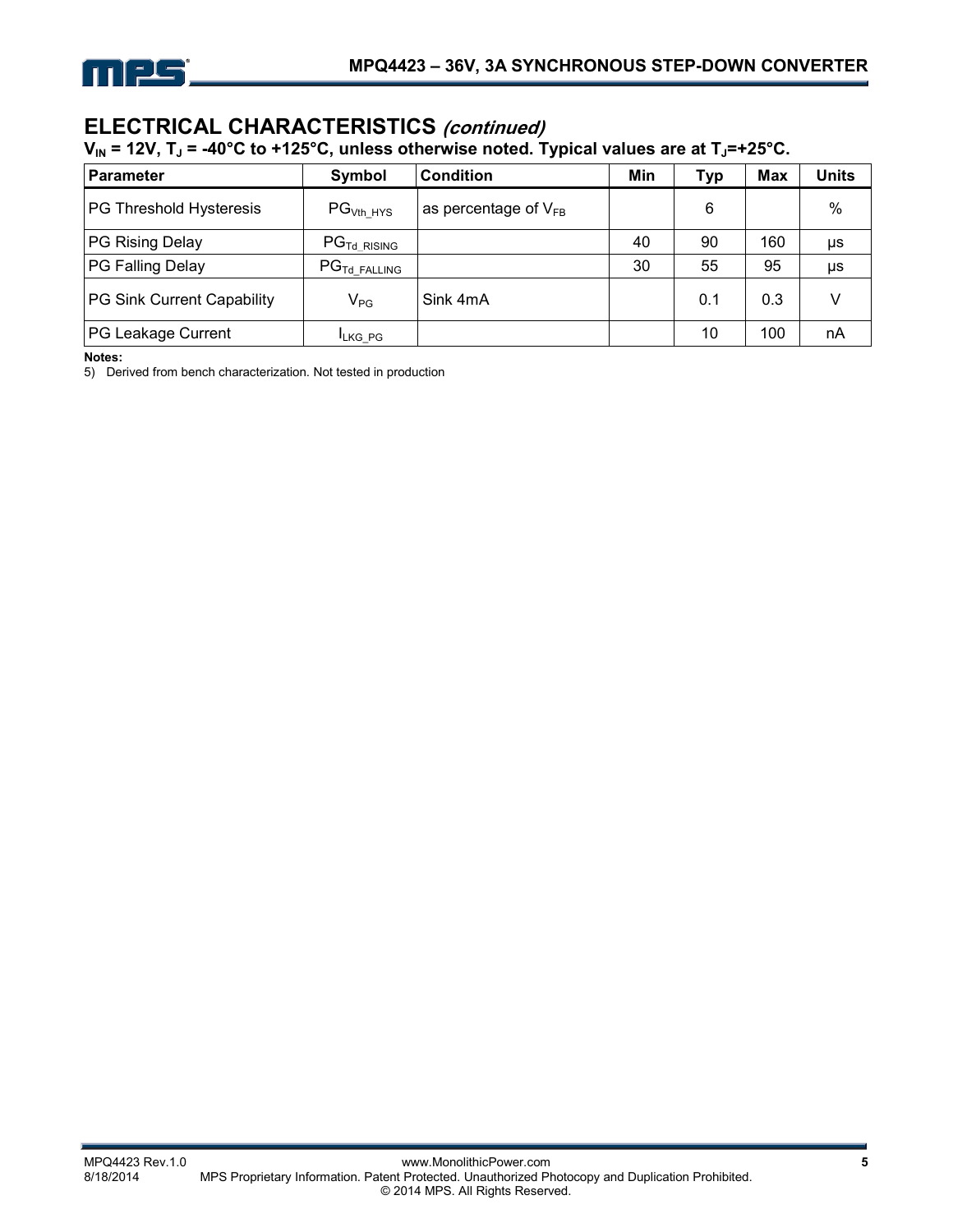

## **ELECTRICAL CHARACTERISTICS (continued)**

V<sub>IN</sub> = 12V, T<sub>J</sub> = -40°C to +125°C, unless otherwise noted. Typical values are at T<sub>J</sub>=+25°C.

| <b>Parameter</b>           | Symbol                               | <b>Condition</b>          | Min | Typ | <b>Max</b> | Units |
|----------------------------|--------------------------------------|---------------------------|-----|-----|------------|-------|
| PG Threshold Hysteresis    | PG <sub>Vth HYS</sub>                | as percentage of $V_{FB}$ |     | 6   |            | $\%$  |
| PG Rising Delay            | $\mathsf{PG}_{\mathsf{Td\_RISING}}$  |                           | 40  | 90  | 160        | μs    |
| PG Falling Delay           | $\mathsf{PG}_{\mathsf{Td\_FALLING}}$ |                           | 30  | 55  | 95         | μs    |
| PG Sink Current Capability | $V_{PG}$                             | Sink 4mA                  |     | 0.1 | 0.3        |       |
| PG Leakage Current         | <b>ILKG PG</b>                       |                           |     | 10  | 100        | nA    |

**Notes:** 

5) Derived from bench characterization. Not tested in production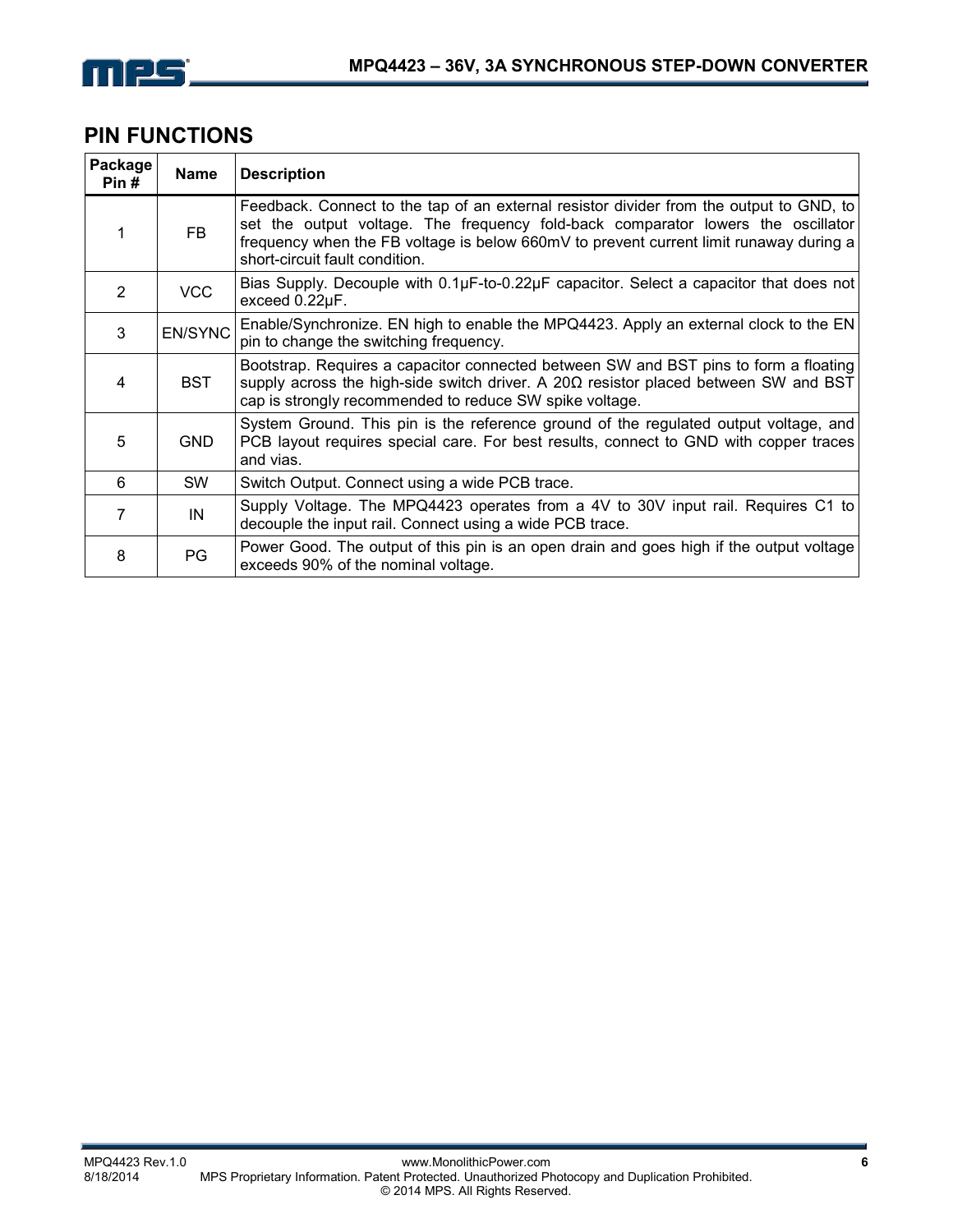

## **PIN FUNCTIONS**

| Package<br>Pin# | <b>Name</b>    | <b>Description</b>                                                                                                                                                                                                                                                                                      |
|-----------------|----------------|---------------------------------------------------------------------------------------------------------------------------------------------------------------------------------------------------------------------------------------------------------------------------------------------------------|
|                 | <b>FB</b>      | Feedback. Connect to the tap of an external resistor divider from the output to GND, to<br>set the output voltage. The frequency fold-back comparator lowers the oscillator<br>frequency when the FB voltage is below 660mV to prevent current limit runaway during a<br>short-circuit fault condition. |
| $\mathcal{P}$   | <b>VCC</b>     | Bias Supply. Decouple with $0.1\mu$ F-to-0.22 $\mu$ F capacitor. Select a capacitor that does not<br>exceed 0.22µF.                                                                                                                                                                                     |
| 3               | <b>EN/SYNC</b> | Enable/Synchronize. EN high to enable the MPQ4423. Apply an external clock to the EN<br>pin to change the switching frequency.                                                                                                                                                                          |
| 4               | <b>BST</b>     | Bootstrap. Requires a capacitor connected between SW and BST pins to form a floating<br>supply across the high-side switch driver. A $20\Omega$ resistor placed between SW and BST<br>cap is strongly recommended to reduce SW spike voltage.                                                           |
| 5               | <b>GND</b>     | System Ground. This pin is the reference ground of the regulated output voltage, and<br>PCB layout requires special care. For best results, connect to GND with copper traces<br>and vias.                                                                                                              |
| 6               | <b>SW</b>      | Switch Output. Connect using a wide PCB trace.                                                                                                                                                                                                                                                          |
| 7               | IN             | Supply Voltage. The MPQ4423 operates from a 4V to 30V input rail. Requires C1 to<br>decouple the input rail. Connect using a wide PCB trace.                                                                                                                                                            |
| 8               | PG             | Power Good. The output of this pin is an open drain and goes high if the output voltage<br>exceeds 90% of the nominal voltage.                                                                                                                                                                          |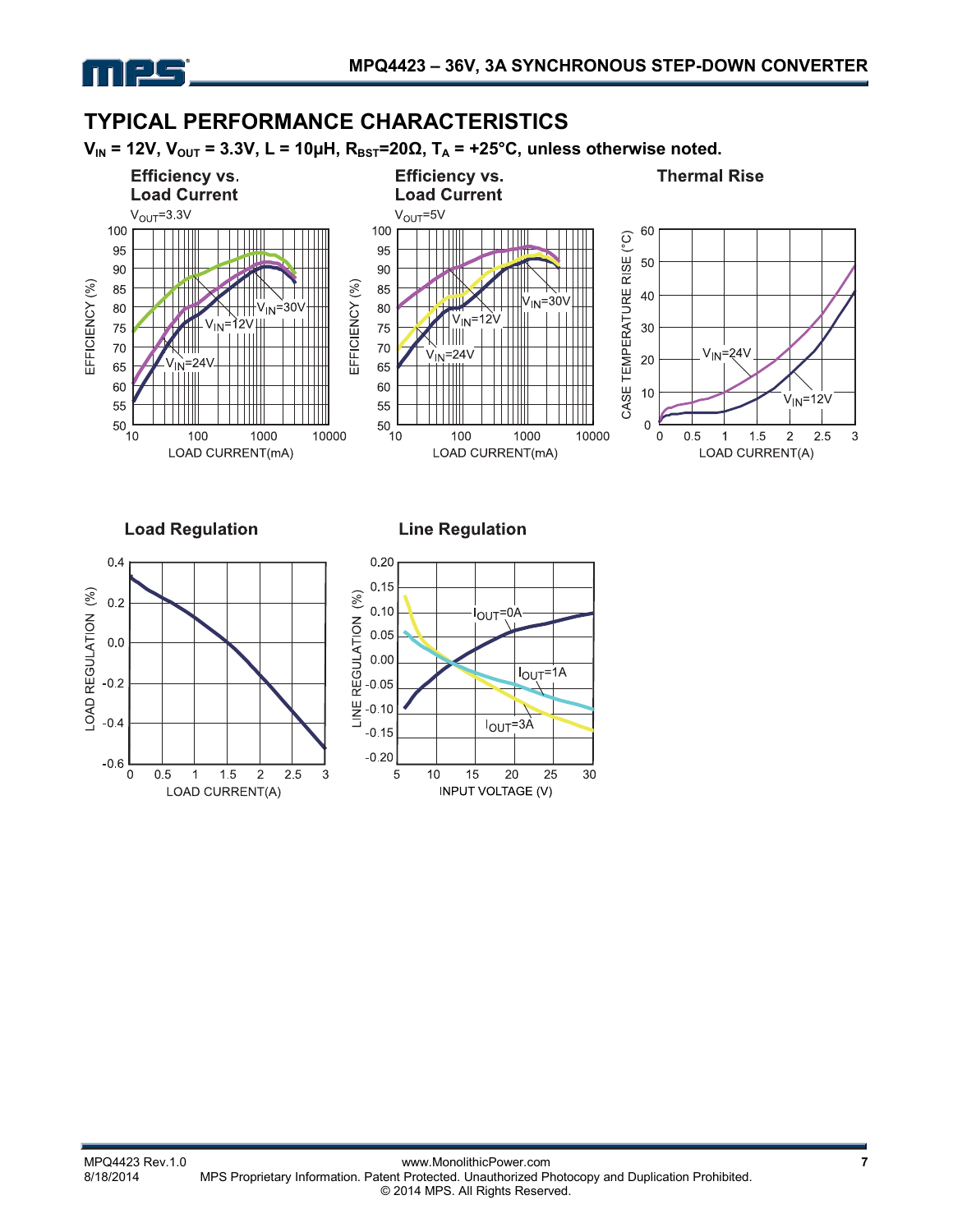

 $-0.6$  $\Omega$ 

 $0.5$ 

1

1.5

LOAD CURRENT(A)

 $\overline{c}$ 

2.5

3

# **TYPICAL PERFORMANCE CHARACTERISTICS**

 $V_{IN}$  = 12V,  $V_{OUT}$  = 3.3V, L = 10µH,  $R_{BST}$ =20 $\Omega$ ,  $T_A$  = +25°C, unless otherwise noted.



 $10$ 

5

20

**INPUT VOLTAGE (V)** 

15

25

30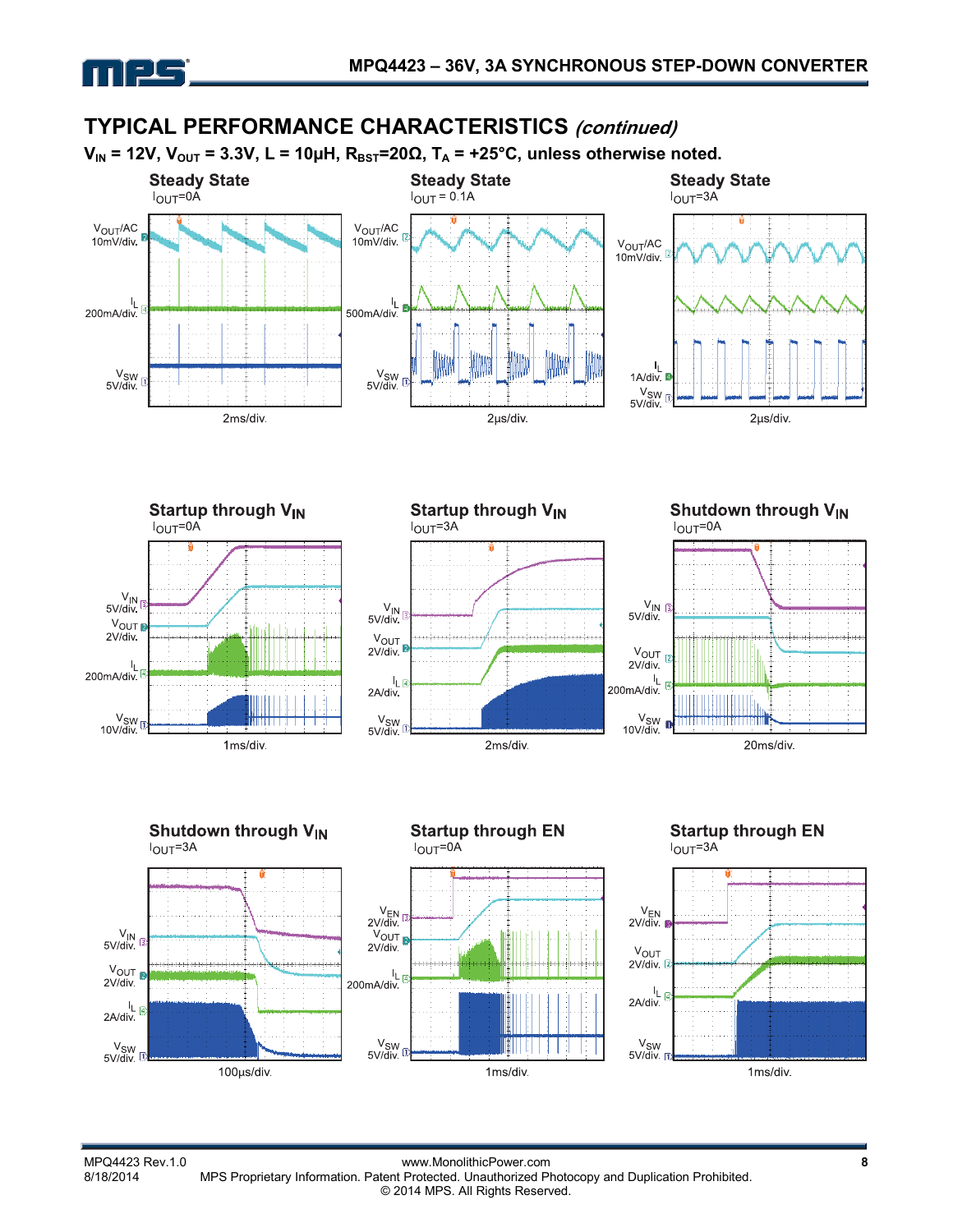

## **TYPICAL PERFORMANCE CHARACTERISTICS (continued)**













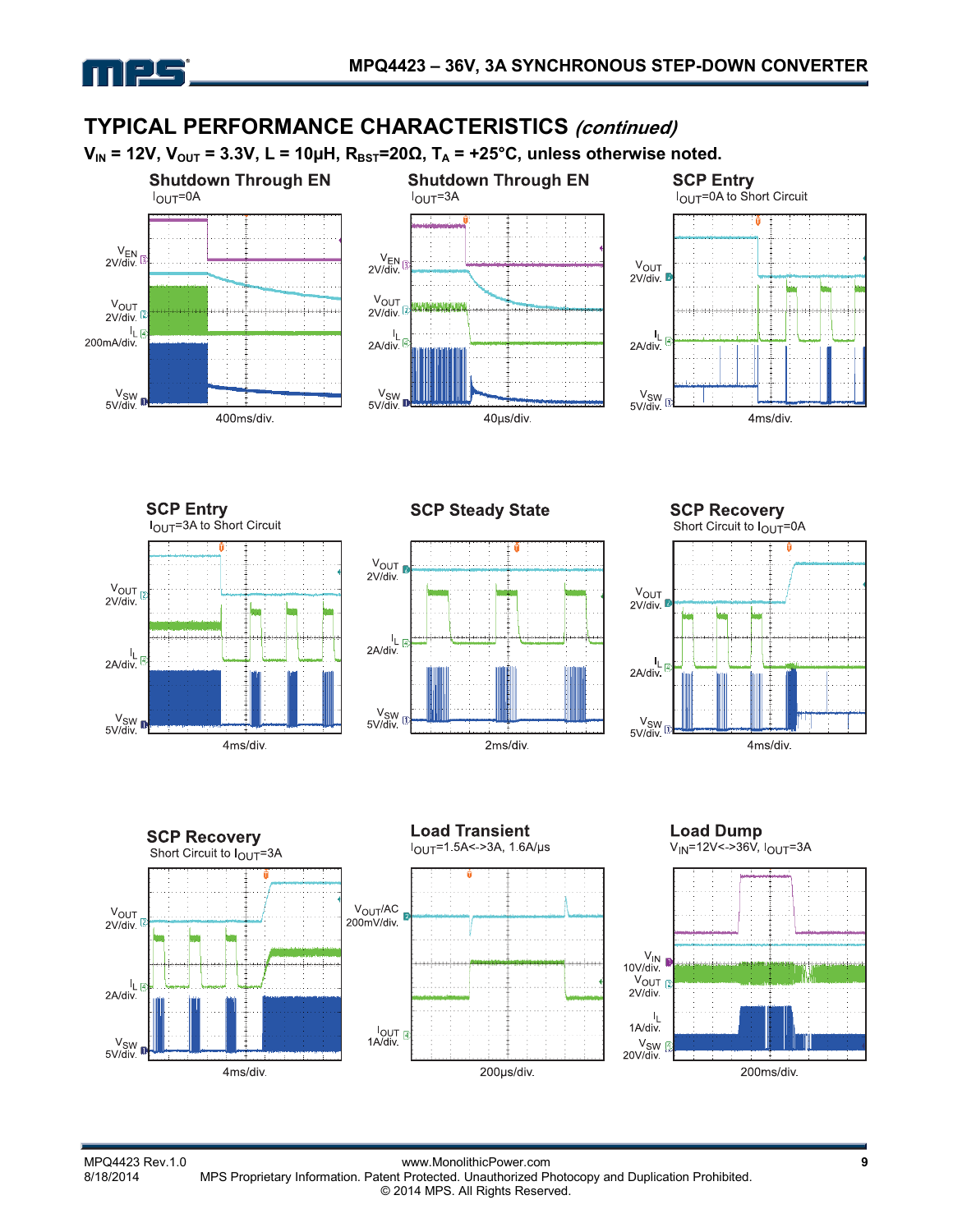





**SCP Steady State** 



**SCP Recovery** Short Circuit to  $I_{OUT}$ =0A







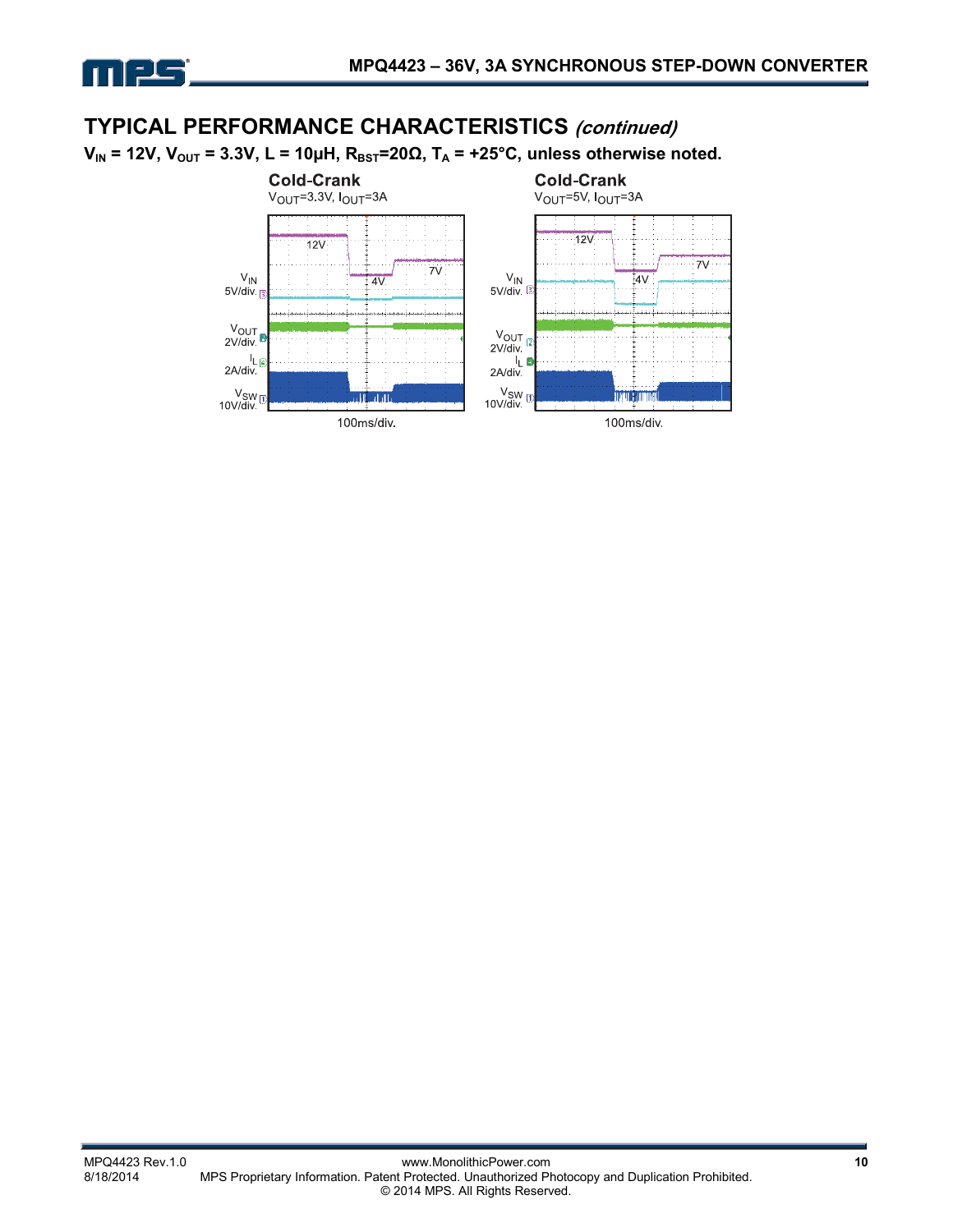

## **TYPICAL PERFORMANCE CHARACTERISTICS (continued)**

 $V_{IN}$  = 12V,  $V_{OUT}$  = 3.3V, L = 10μH,  $R_{BST}$ =20Ω,  $T_A$  = +25°C, unless otherwise noted.

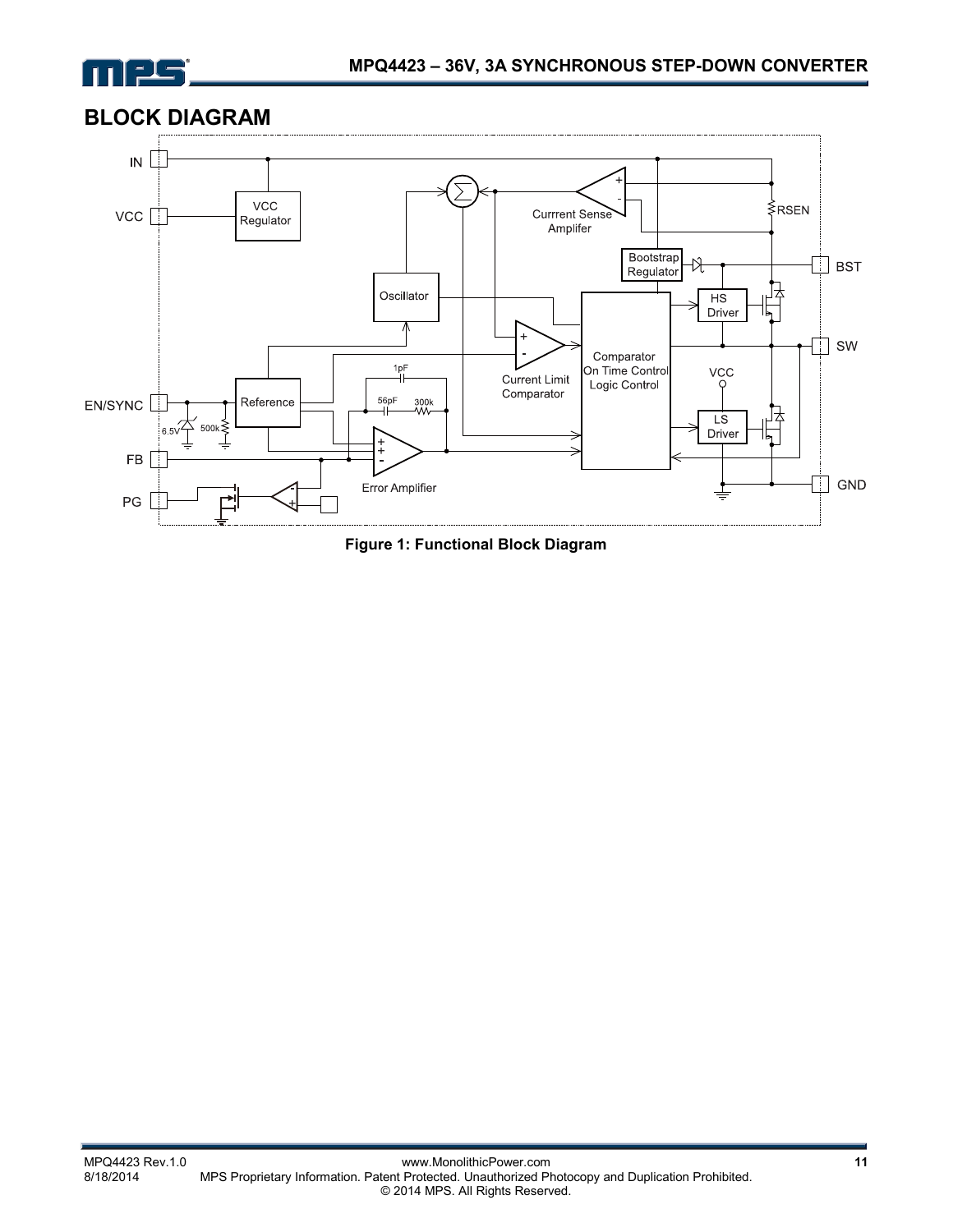

# **BLOCK DIAGRAM**



**Figure 1: Functional Block Diagram**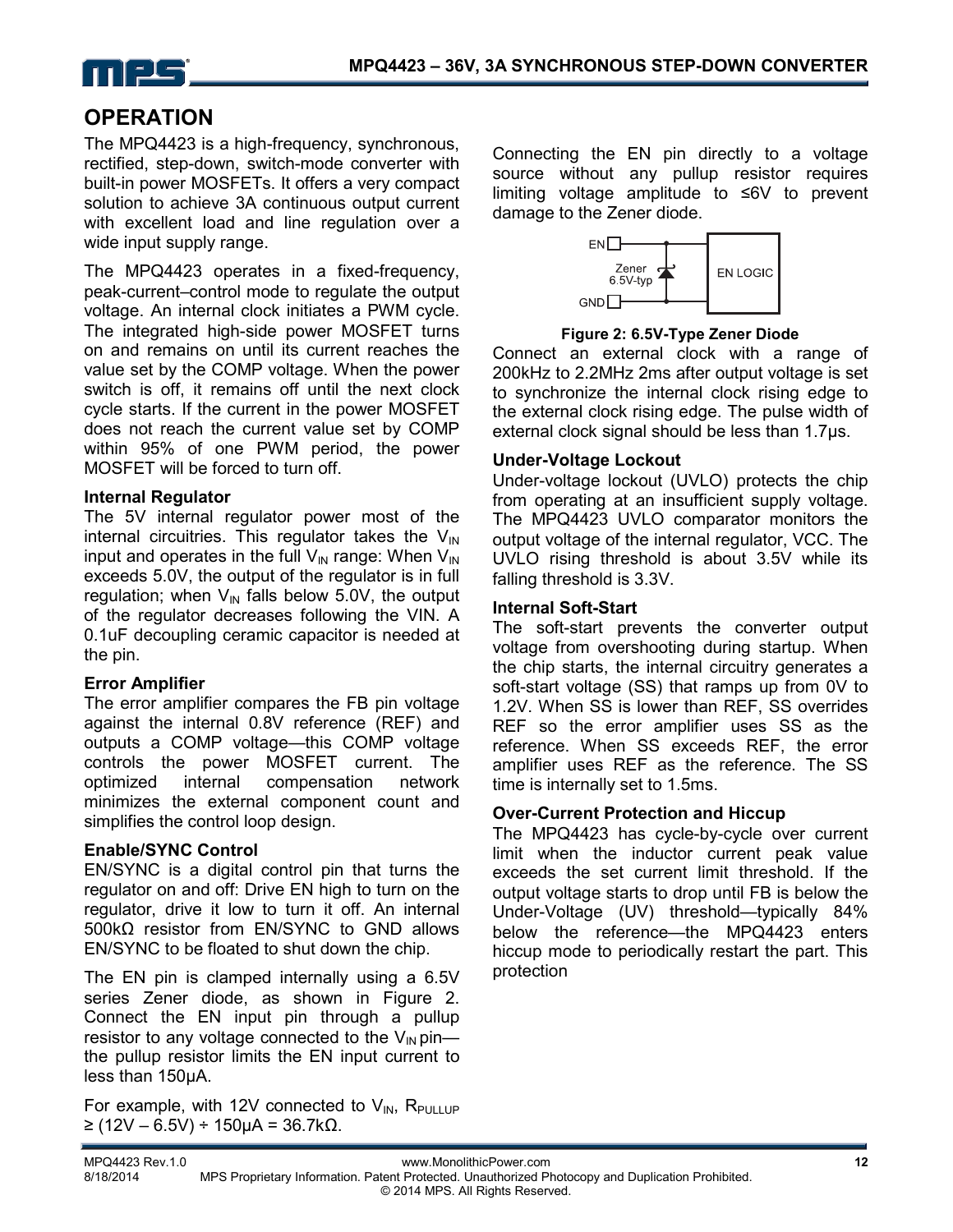

# **OPERATION**

The MPQ4423 is a high-frequency, synchronous, rectified, step-down, switch-mode converter with built-in power MOSFETs. It offers a very compact solution to achieve 3A continuous output current with excellent load and line regulation over a wide input supply range.

The MPQ4423 operates in a fixed-frequency, peak-current–control mode to regulate the output voltage. An internal clock initiates a PWM cycle. The integrated high-side power MOSFET turns on and remains on until its current reaches the value set by the COMP voltage. When the power switch is off, it remains off until the next clock cycle starts. If the current in the power MOSFET does not reach the current value set by COMP within 95% of one PWM period, the power MOSFET will be forced to turn off.

## **Internal Regulator**

The 5V internal regulator power most of the internal circuitries. This regulator takes the  $V_{\text{IN}}$ input and operates in the full  $V_{IN}$  range: When  $V_{IN}$ exceeds 5.0V, the output of the regulator is in full regulation; when  $V_{\text{IN}}$  falls below 5.0V, the output of the regulator decreases following the VIN. A 0.1uF decoupling ceramic capacitor is needed at the pin.

## **Error Amplifier**

The error amplifier compares the FB pin voltage against the internal 0.8V reference (REF) and outputs a COMP voltage—this COMP voltage controls the power MOSFET current. The optimized internal compensation network minimizes the external component count and simplifies the control loop design.

## **Enable/SYNC Control**

EN/SYNC is a digital control pin that turns the regulator on and off: Drive EN high to turn on the regulator, drive it low to turn it off. An internal 500kΩ resistor from EN/SYNC to GND allows EN/SYNC to be floated to shut down the chip.

The EN pin is clamped internally using a 6.5V series Zener diode, as shown in Figure 2. Connect the EN input pin through a pullup resistor to any voltage connected to the  $V_{\text{IN}}$  pin the pullup resistor limits the EN input current to less than 150µA.

For example, with 12V connected to  $V_{IN}$ , R<sub>PULLUP</sub> ≥ (12V – 6.5V) ÷ 150µA = 36.7kΩ.

Connecting the EN pin directly to a voltage source without any pullup resistor requires limiting voltage amplitude to ≤6V to prevent damage to the Zener diode.



**Figure 2: 6.5V-Type Zener Diode** 

Connect an external clock with a range of 200kHz to 2.2MHz 2ms after output voltage is set to synchronize the internal clock rising edge to the external clock rising edge. The pulse width of external clock signal should be less than 1.7μs.

## **Under-Voltage Lockout**

Under-voltage lockout (UVLO) protects the chip from operating at an insufficient supply voltage. The MPQ4423 UVLO comparator monitors the output voltage of the internal regulator, VCC. The UVLO rising threshold is about 3.5V while its falling threshold is 3.3V.

## **Internal Soft-Start**

The soft-start prevents the converter output voltage from overshooting during startup. When the chip starts, the internal circuitry generates a soft-start voltage (SS) that ramps up from 0V to 1.2V. When SS is lower than REF, SS overrides REF so the error amplifier uses SS as the reference. When SS exceeds REF, the error amplifier uses REF as the reference. The SS time is internally set to 1.5ms.

## **Over-Current Protection and Hiccup**

The MPQ4423 has cycle-by-cycle over current limit when the inductor current peak value exceeds the set current limit threshold. If the output voltage starts to drop until FB is below the Under-Voltage (UV) threshold—typically 84% below the reference—the MPQ4423 enters hiccup mode to periodically restart the part. This protection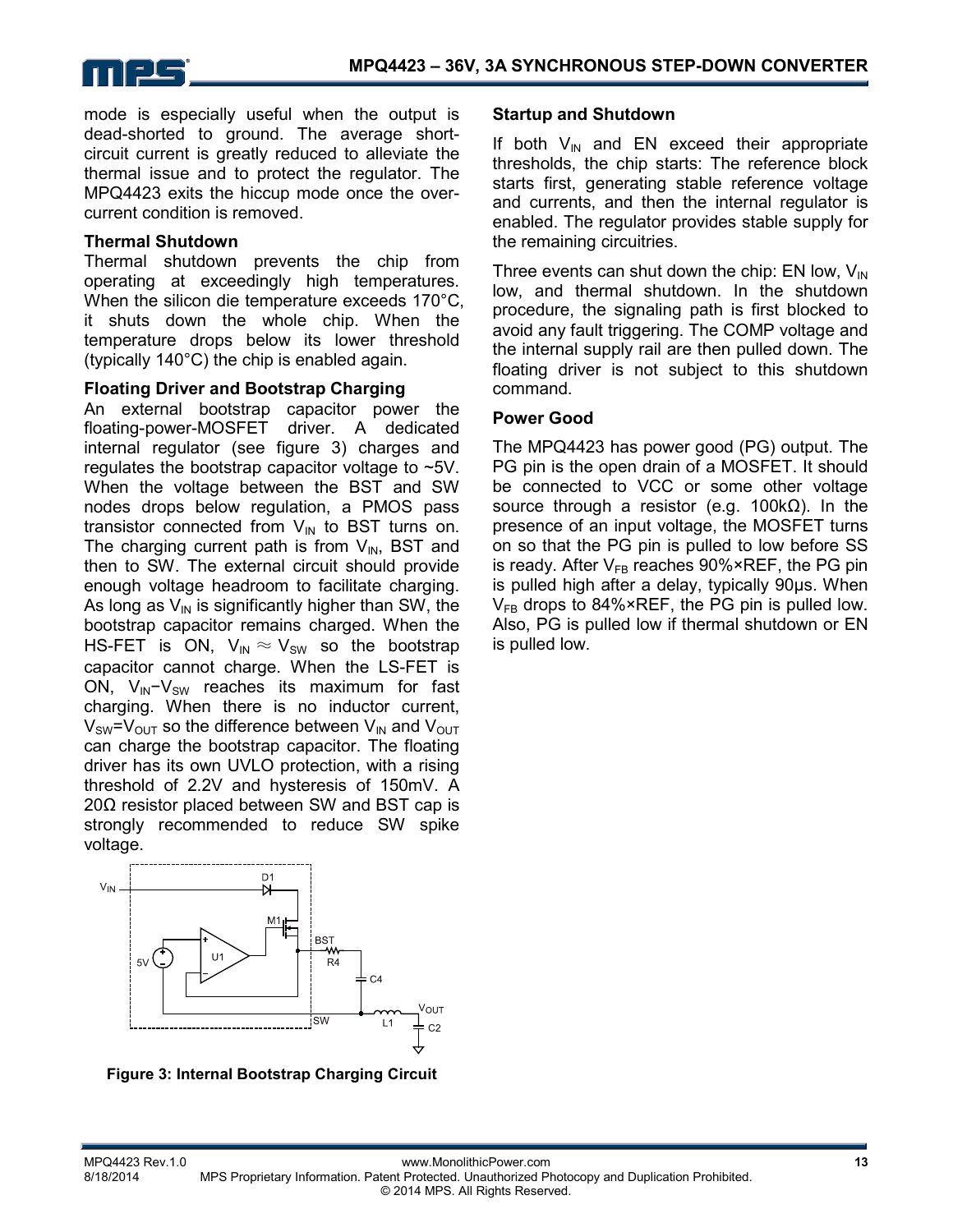

mode is especially useful when the output is dead-shorted to ground. The average shortcircuit current is greatly reduced to alleviate the thermal issue and to protect the regulator. The MPQ4423 exits the hiccup mode once the overcurrent condition is removed.

#### **Thermal Shutdown**

Thermal shutdown prevents the chip from operating at exceedingly high temperatures. When the silicon die temperature exceeds 170°C, it shuts down the whole chip. When the temperature drops below its lower threshold (typically 140°C) the chip is enabled again.

#### **Floating Driver and Bootstrap Charging**

An external bootstrap capacitor power the floating-power-MOSFET driver. A dedicated internal regulator (see figure 3) charges and regulates the bootstrap capacitor voltage to ~5V. When the voltage between the BST and SW nodes drops below regulation, a PMOS pass transistor connected from  $V_{IN}$  to BST turns on. The charging current path is from  $V_{IN}$ , BST and then to SW. The external circuit should provide enough voltage headroom to facilitate charging. As long as  $V_{\text{IN}}$  is significantly higher than SW, the bootstrap capacitor remains charged. When the HS-FET is ON,  $V_{IN} \approx V_{SW}$  so the bootstrap capacitor cannot charge. When the LS-FET is ON, V<sub>IN</sub>-V<sub>SW</sub> reaches its maximum for fast charging. When there is no inductor current,  $V_{SW} = V_{OUT}$  so the difference between  $V_{IN}$  and  $V_{OUT}$ can charge the bootstrap capacitor. The floating driver has its own UVLO protection, with a rising threshold of 2.2V and hysteresis of 150mV. A 20Ω resistor placed between SW and BST cap is strongly recommended to reduce SW spike voltage.



**Figure 3: Internal Bootstrap Charging Circuit** 

#### **Startup and Shutdown**

If both  $V_{\text{IN}}$  and EN exceed their appropriate thresholds, the chip starts: The reference block starts first, generating stable reference voltage and currents, and then the internal regulator is enabled. The regulator provides stable supply for the remaining circuitries.

Three events can shut down the chip: EN low,  $V_{\text{IN}}$ low, and thermal shutdown. In the shutdown procedure, the signaling path is first blocked to avoid any fault triggering. The COMP voltage and the internal supply rail are then pulled down. The floating driver is not subject to this shutdown command.

#### **Power Good**

The MPQ4423 has power good (PG) output. The PG pin is the open drain of a MOSFET. It should be connected to VCC or some other voltage source through a resistor (e.g.  $100kΩ$ ). In the presence of an input voltage, the MOSFET turns on so that the PG pin is pulled to low before SS is ready. After  $V_{FB}$  reaches 90%×REF, the PG pin is pulled high after a delay, typically 90μs. When  $V_{FB}$  drops to 84%×REF, the PG pin is pulled low. Also, PG is pulled low if thermal shutdown or EN is pulled low.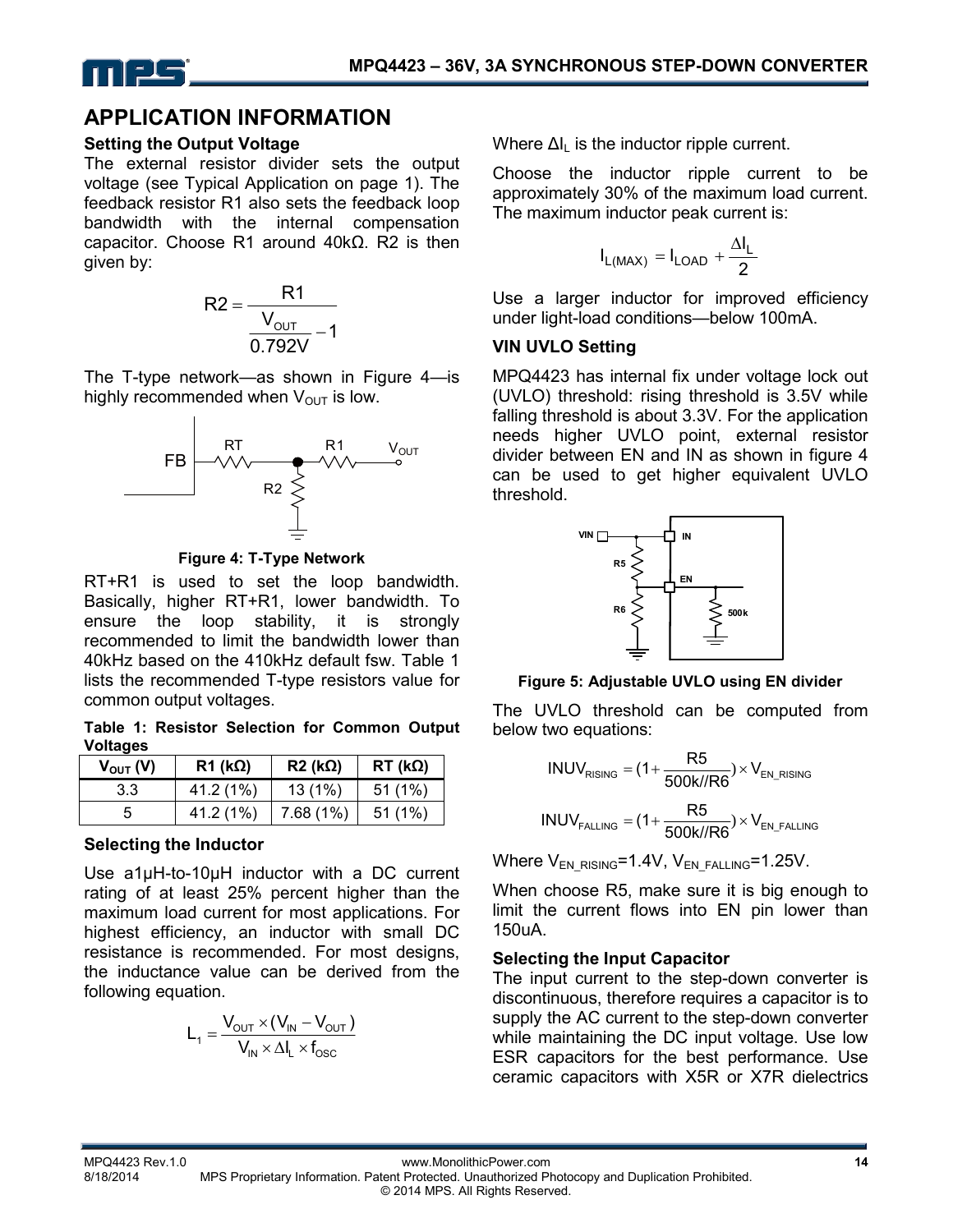

## **APPLICATION INFORMATION**

#### **Setting the Output Voltage**

The external resistor divider sets the output voltage (see Typical Application on page 1). The feedback resistor R1 also sets the feedback loop bandwidth with the internal compensation capacitor. Choose R1 around 40kΩ. R2 is then given by:



The T-type network—as shown in Figure 4—is highly recommended when  $V_{\text{OUT}}$  is low.



**Figure 4: T-Type Network** 

RT+R1 is used to set the loop bandwidth. Basically, higher RT+R1, lower bandwidth. To ensure the loop stability, it is strongly recommended to limit the bandwidth lower than 40kHz based on the 410kHz default fsw. Table 1 lists the recommended T-type resistors value for common output voltages.

**Table 1: Resistor Selection for Common Output Voltages** 

| $V_{\text{OUT}}(V)$ | $R1$ (kΩ) | $R2$ (kΩ) | $RT$ (k $\Omega$ ) |
|---------------------|-----------|-----------|--------------------|
| 3.3                 | 41.2 (1%) | 13(1%)    | 51(1%)             |
|                     | 41.2 (1%) | 7.68(1%)  | 51(1%)             |

## **Selecting the Inductor**

Use a1µH-to-10µH inductor with a DC current rating of at least 25% percent higher than the maximum load current for most applications. For highest efficiency, an inductor with small DC resistance is recommended. For most designs, the inductance value can be derived from the following equation.

$$
L_1 = \frac{V_{\text{OUT}} \times (V_{\text{IN}} - V_{\text{OUT}})}{V_{\text{IN}} \times \Delta I_L \times f_{\text{OSC}}}
$$

Where  $\Delta I_L$  is the inductor ripple current.

Choose the inductor ripple current to be approximately 30% of the maximum load current. The maximum inductor peak current is:

$$
I_{L(MAX)} = I_{LOAD} + \frac{\Delta I_L}{2}
$$

Use a larger inductor for improved efficiency under light-load conditions—below 100mA.

## **VIN UVLO Setting**

MPQ4423 has internal fix under voltage lock out (UVLO) threshold: rising threshold is 3.5V while falling threshold is about 3.3V. For the application needs higher UVLO point, external resistor divider between EN and IN as shown in figure 4 can be used to get higher equivalent UVLO threshold.



#### **Figure 5: Adjustable UVLO using EN divider**

The UVLO threshold can be computed from below two equations:

$$
INVV_{RISING} = (1 + \frac{R5}{500k//R6}) \times V_{EN\_RISING}
$$

$$
INVV_{FALLING} = (1 + \frac{R5}{500k//R6}) \times V_{EN\_FALLING}
$$

Where  $V_{EN-RISING}=1.4V$ ,  $V_{EN-FALLING}=1.25V$ .

When choose R5, make sure it is big enough to limit the current flows into EN pin lower than 150uA.

## **Selecting the Input Capacitor**

The input current to the step-down converter is discontinuous, therefore requires a capacitor is to supply the AC current to the step-down converter while maintaining the DC input voltage. Use low ESR capacitors for the best performance. Use ceramic capacitors with X5R or X7R dielectrics

MPQ4423 Rev.1.0 www.MonolithicPower.com **14** MPS Proprietary Information. Patent Protected. Unauthorized Photocopy and Duplication Prohibited. © 2014 MPS. All Rights Reserved.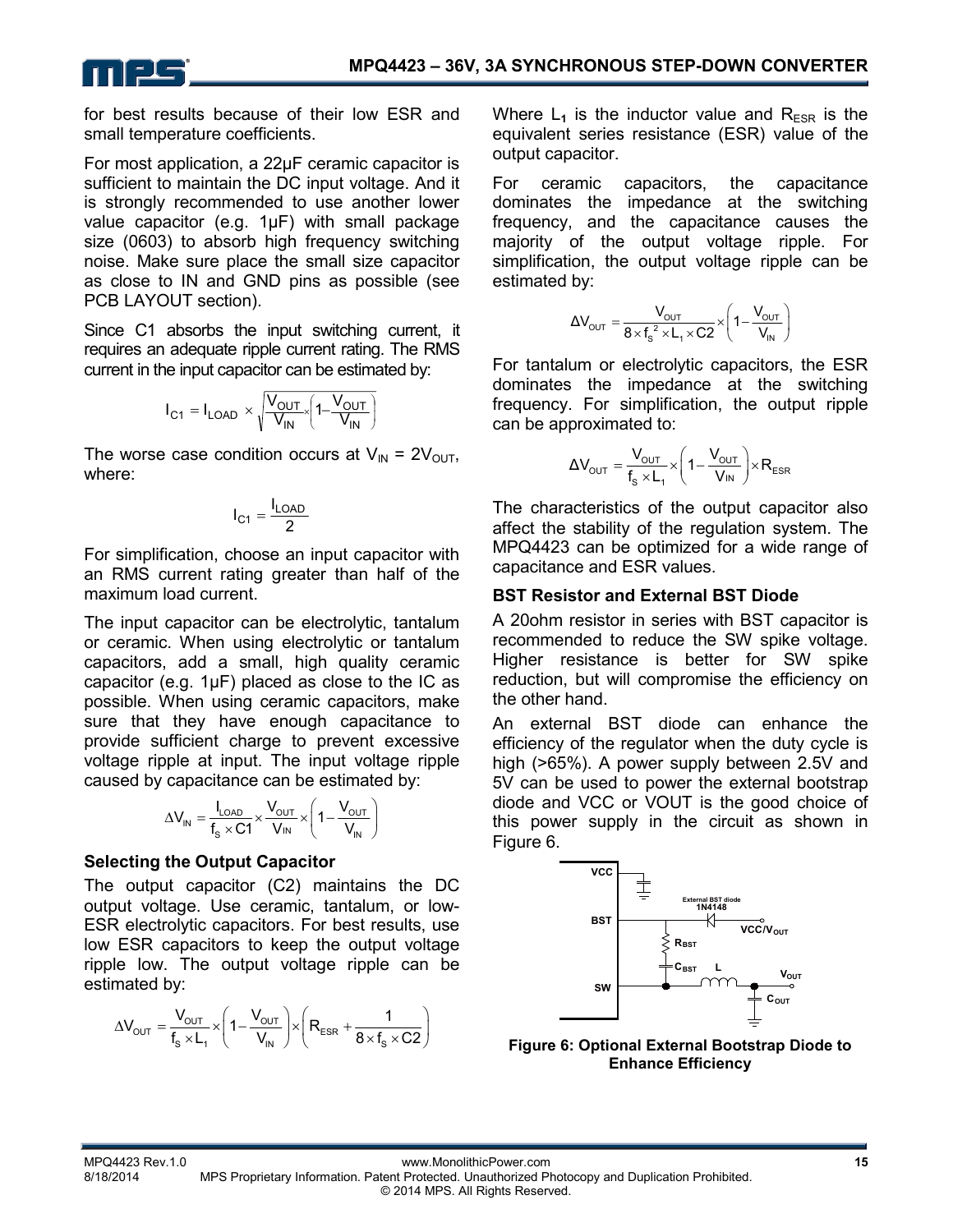

for best results because of their low ESR and small temperature coefficients.

For most application, a 22µF ceramic capacitor is sufficient to maintain the DC input voltage. And it is strongly recommended to use another lower value capacitor (e.g. 1µF) with small package size (0603) to absorb high frequency switching noise. Make sure place the small size capacitor as close to IN and GND pins as possible (see PCB LAYOUT section).

Since C1 absorbs the input switching current, it requires an adequate ripple current rating. The RMS current in the input capacitor can be estimated by:

$$
I_{C1} = I_{LOAD} \times \sqrt{\frac{V_{OUT}}{V_{IN}} \left(1 - \frac{V_{OUT}}{V_{IN}}\right)}
$$

The worse case condition occurs at  $V_{IN} = 2V_{OUT}$ , where:

$$
I_{C1} = \frac{I_{LOAD}}{2}
$$

For simplification, choose an input capacitor with an RMS current rating greater than half of the maximum load current.

The input capacitor can be electrolytic, tantalum or ceramic. When using electrolytic or tantalum capacitors, add a small, high quality ceramic capacitor (e.g.  $1\mu$ F) placed as close to the IC as possible. When using ceramic capacitors, make sure that they have enough capacitance to provide sufficient charge to prevent excessive voltage ripple at input. The input voltage ripple caused by capacitance can be estimated by:

$$
\Delta V_{IN} = \frac{I_{LOAD}}{f_s \times C1} \times \frac{V_{OUT}}{V_{IN}} \times \left(1 - \frac{V_{OUT}}{V_{IN}}\right)
$$

## **Selecting the Output Capacitor**

The output capacitor (C2) maintains the DC output voltage. Use ceramic, tantalum, or low-ESR electrolytic capacitors. For best results, use low ESR capacitors to keep the output voltage ripple low. The output voltage ripple can be estimated by:

$$
\Delta V_{\text{OUT}}=\frac{V_{\text{OUT}}}{f_s \times L_1} \times \left(1-\frac{V_{\text{OUT}}}{V_{\text{IN}}}\right) \times \left(R_{\text{ESR}}+\frac{1}{8 \times f_s \times C2}\right)
$$

Where  $L_1$  is the inductor value and  $R_{FSR}$  is the equivalent series resistance (ESR) value of the output capacitor.

For ceramic capacitors, the capacitance dominates the impedance at the switching frequency, and the capacitance causes the majority of the output voltage ripple. For simplification, the output voltage ripple can be estimated by:

$$
\Delta V_{\text{OUT}} = \frac{V_{\text{OUT}}}{8 \times f_s^2 \times L_1 \times C2} \times \left(1 - \frac{V_{\text{OUT}}}{V_{\text{IN}}}\right)
$$

For tantalum or electrolytic capacitors, the ESR dominates the impedance at the switching frequency. For simplification, the output ripple can be approximated to:

$$
\Delta V_{\text{OUT}} = \frac{V_{\text{OUT}}}{f_s \times L_1} \times \left(1 - \frac{V_{\text{OUT}}}{V_{\text{IN}}}\right) \times R_{\text{ESR}}
$$

The characteristics of the output capacitor also affect the stability of the regulation system. The MPQ4423 can be optimized for a wide range of capacitance and ESR values.

#### **BST Resistor and External BST Diode**

A 20ohm resistor in series with BST capacitor is recommended to reduce the SW spike voltage. Higher resistance is better for SW spike reduction, but will compromise the efficiency on the other hand.

An external BST diode can enhance the efficiency of the regulator when the duty cycle is high (>65%). A power supply between 2.5V and 5V can be used to power the external bootstrap diode and VCC or VOUT is the good choice of this power supply in the circuit as shown in Figure 6.



**Figure 6: Optional External Bootstrap Diode to Enhance Efficiency**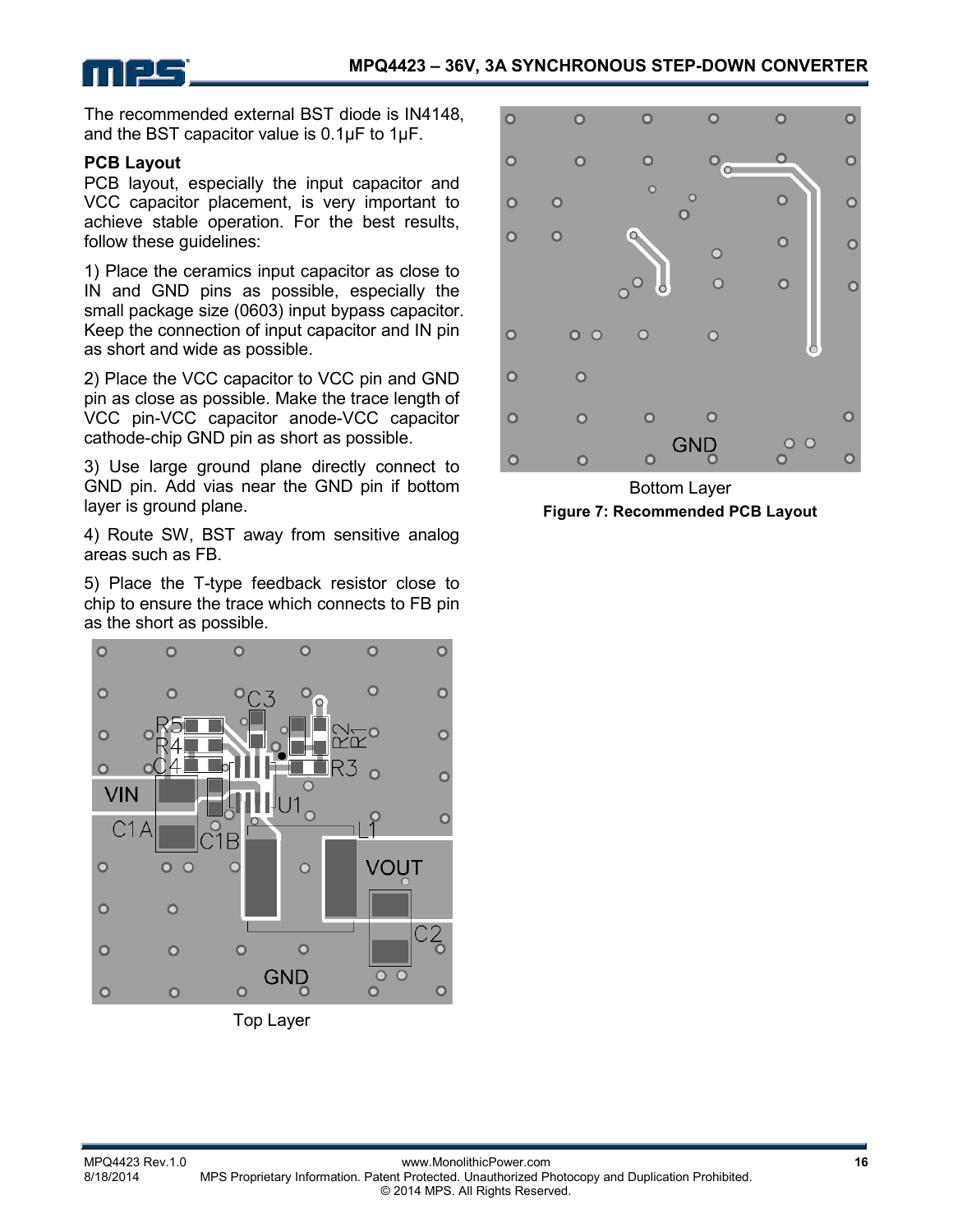

The recommended external BST diode is IN4148, and the BST capacitor value is 0.1µF to 1μF.

#### **PCB Layout**

PCB layout, especially the input capacitor and VCC capacitor placement, is very important to achieve stable operation. For the best results, follow these guidelines:

1) Place the ceramics input capacitor as close to IN and GND pins as possible, especially the small package size (0603) input bypass capacitor. Keep the connection of input capacitor and IN pin as short and wide as possible.

2) Place the VCC capacitor to VCC pin and GND pin as close as possible. Make the trace length of VCC pin-VCC capacitor anode-VCC capacitor cathode-chip GND pin as short as possible.

3) Use large ground plane directly connect to GND pin. Add vias near the GND pin if bottom layer is ground plane.

4) Route SW, BST away from sensitive analog areas such as FB.

5) Place the T-type feedback resistor close to chip to ensure the trace which connects to FB pin as the short as possible.



Top Layer



Bottom Layer **Figure 7: Recommended PCB Layout**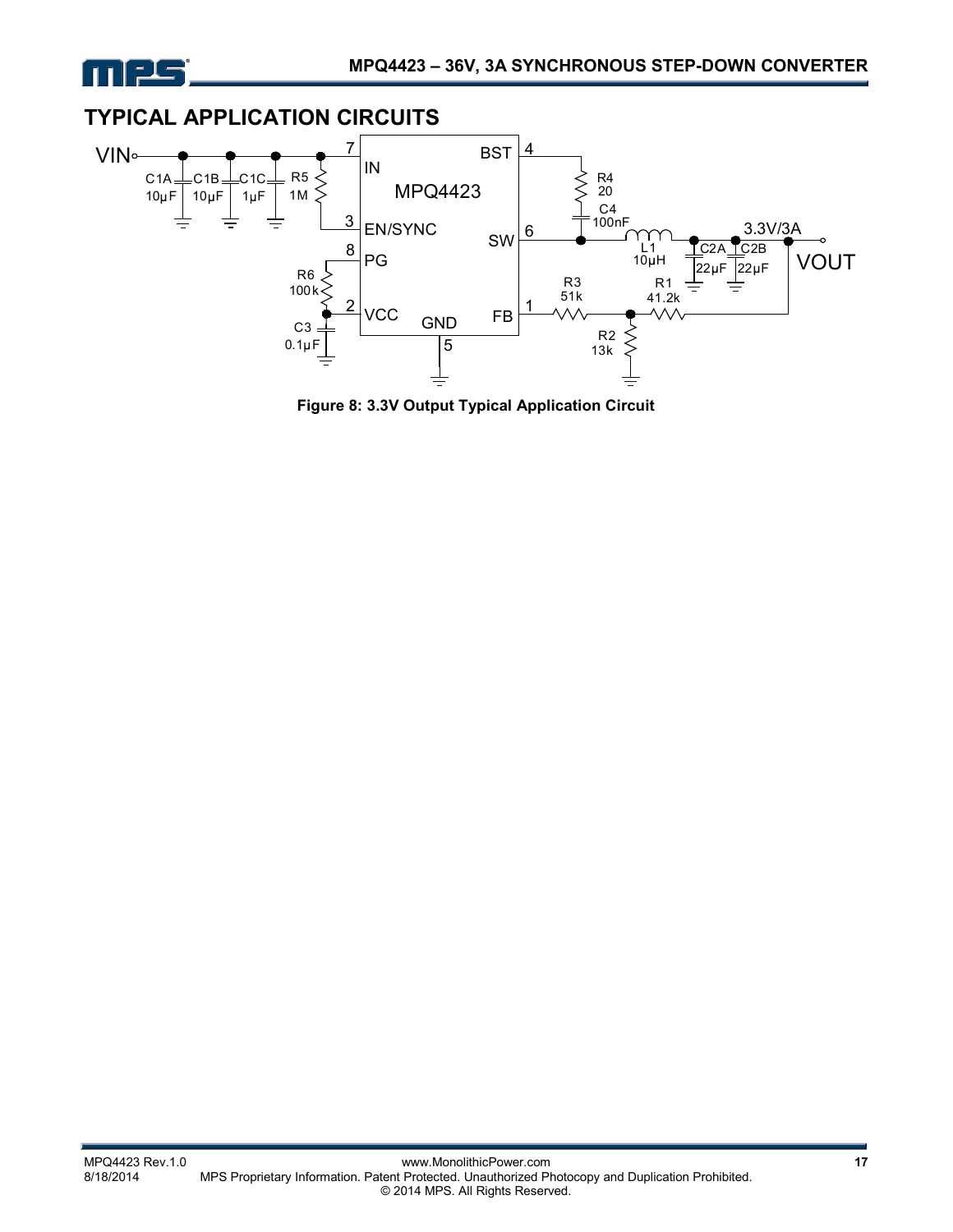



**Figure 8: 3.3V Output Typical Application Circuit**